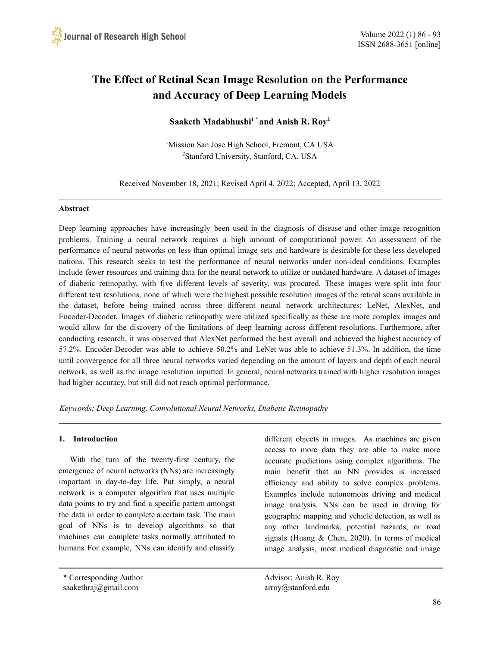# **The Effect of Retinal Scan Image Resolution on the Performance and Accuracy of Deep Learning Models**

# **Saaketh Madabhushi <sup>1</sup> \* and Anish R. Roy 2**

<sup>1</sup>Mission San Jose High School, Fremont, CA USA <sup>2</sup>Stanford University, Stanford, CA, USA

Received November 18, 2021; Revised April 4, 2022; Accepted, April 13, 2022

## **Abstract**

Deep learning approaches have increasingly been used in the diagnosis of disease and other image recognition problems. Training a neural network requires a high amount of computational power. An assessment of the performance of neural networks on less than optimal image sets and hardware is desirable for these less developed nations. This research seeks to test the performance of neural networks under non-ideal conditions. Examples include fewer resources and training data for the neural network to utilize or outdated hardware. A dataset of images of diabetic retinopathy, with five different levels of severity, was procured. These images were split into four different test resolutions, none of which were the highest possible resolution images of the retinal scans available in the dataset, before being trained across three different neural network architectures: LeNet, AlexNet, and Encoder-Decoder. Images of diabetic retinopathy were utilized specifically as these are more complex images and would allow for the discovery of the limitations of deep learning across different resolutions. Furthermore, after conducting research, it was observed that AlexNet performed the best overall and achieved the highest accuracy of 57.2%. Encoder-Decoder was able to achieve 50.2% and LeNet was able to achieve 51.3%. In addition, the time until convergence for all three neural networks varied depending on the amount of layers and depth of each neural network, as well as the image resolution inputted. In general, neural networks trained with higher resolution images had higher accuracy, but still did not reach optimal performance.

*Keywords: Deep Learning, Convolutional Neural Networks, Diabetic Retinopathy*

## **1. Introduction**

With the turn of the twenty-first century, the emergence of neural networks (NNs) are increasingly important in day-to-day life. Put simply, a neural network is a computer algorithm that uses multiple data points to try and find a specific pattern amongst the data in order to complete a certain task. The main goal of NNs is to develop algorithms so that machines can complete tasks normally attributed to humans For example, NNs can identify and classify

\* Corresponding Author Advisor: Anish R. Roy saakethraj@gmail.com arroy@stanford.edu

different objects in images. As machines are given access to more data they are able to make more accurate predictions using complex algorithms. The main benefit that an NN provides is increased efficiency and ability to solve complex problems. Examples include autonomous driving and medical image analysis. NNs can be used in driving for geographic mapping and vehicle detection, as well as any other landmarks, potential hazards, or road signals (Huang & Chen, 2020). In terms of medical image analysis, most medical diagnostic and image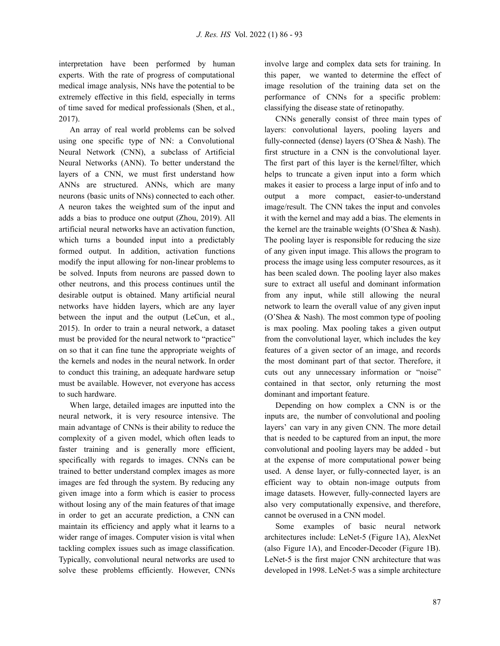interpretation have been performed by human experts. With the rate of progress of computational medical image analysis, NNs have the potential to be extremely effective in this field, especially in terms of time saved for medical professionals (Shen, et al., 2017).

An array of real world problems can be solved using one specific type of NN: a Convolutional Neural Network (CNN), a subclass of Artificial Neural Networks (ANN). To better understand the layers of a CNN, we must first understand how ANNs are structured. ANNs, which are many neurons (basic units of NNs) connected to each other. A neuron takes the weighted sum of the input and adds a bias to produce one output (Zhou, 2019). All artificial neural networks have an activation function, which turns a bounded input into a predictably formed output. In addition, activation functions modify the input allowing for non-linear problems to be solved. Inputs from neurons are passed down to other neutrons, and this process continues until the desirable output is obtained. Many artificial neural networks have hidden layers, which are any layer between the input and the output (LeCun, et al., 2015). In order to train a neural network, a dataset must be provided for the neural network to "practice" on so that it can fine tune the appropriate weights of the kernels and nodes in the neural network. In order to conduct this training, an adequate hardware setup must be available. However, not everyone has access to such hardware.

When large, detailed images are inputted into the neural network, it is very resource intensive. The main advantage of CNNs is their ability to reduce the complexity of a given model, which often leads to faster training and is generally more efficient, specifically with regards to images. CNNs can be trained to better understand complex images as more images are fed through the system. By reducing any given image into a form which is easier to process without losing any of the main features of that image in order to get an accurate prediction, a CNN can maintain its efficiency and apply what it learns to a wider range of images. Computer vision is vital when tackling complex issues such as image classification. Typically, convolutional neural networks are used to solve these problems efficiently. However, CNNs

involve large and complex data sets for training. In this paper, we wanted to determine the effect of image resolution of the training data set on the performance of CNNs for a specific problem: classifying the disease state of retinopathy.

CNNs generally consist of three main types of layers: convolutional layers, pooling layers and fully-connected (dense) layers (O'Shea & Nash). The first structure in a CNN is the convolutional layer. The first part of this layer is the kernel/filter, which helps to truncate a given input into a form which makes it easier to process a large input of info and to output a more compact, easier-to-understand image/result. The CNN takes the input and convoles it with the kernel and may add a bias. The elements in the kernel are the trainable weights (O'Shea & Nash). The pooling layer is responsible for reducing the size of any given input image. This allows the program to process the image using less computer resources, as it has been scaled down. The pooling layer also makes sure to extract all useful and dominant information from any input, while still allowing the neural network to learn the overall value of any given input (O'Shea & Nash). The most common type of pooling is max pooling. Max pooling takes a given output from the convolutional layer, which includes the key features of a given sector of an image, and records the most dominant part of that sector. Therefore, it cuts out any unnecessary information or "noise" contained in that sector, only returning the most dominant and important feature.

Depending on how complex a CNN is or the inputs are, the number of convolutional and pooling layers' can vary in any given CNN. The more detail that is needed to be captured from an input, the more convolutional and pooling layers may be added - but at the expense of more computational power being used. A dense layer, or fully-connected layer, is an efficient way to obtain non-image outputs from image datasets. However, fully-connected layers are also very computationally expensive, and therefore, cannot be overused in a CNN model.

Some examples of basic neural network architectures include: LeNet-5 (Figure 1A), AlexNet (also Figure 1A), and Encoder-Decoder (Figure 1B). LeNet-5 is the first major CNN architecture that was developed in 1998. LeNet-5 was a simple architecture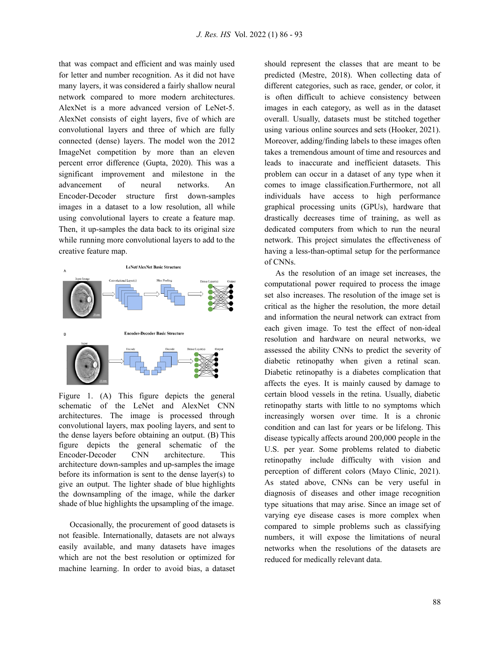that was compact and efficient and was mainly used for letter and number recognition. As it did not have many layers, it was considered a fairly shallow neural network compared to more modern architectures. AlexNet is a more advanced version of LeNet-5. AlexNet consists of eight layers, five of which are convolutional layers and three of which are fully connected (dense) layers. The model won the 2012 ImageNet competition by more than an eleven percent error difference (Gupta, 2020). This was a significant improvement and milestone in the advancement of neural networks. An Encoder-Decoder structure first down-samples images in a dataset to a low resolution, all while using convolutional layers to create a feature map. Then, it up-samples the data back to its original size while running more convolutional layers to add to the creative feature map.



Figure 1. (A) This figure depicts the general schematic of the LeNet and AlexNet CNN architectures. The image is processed through convolutional layers, max pooling layers, and sent to the dense layers before obtaining an output. (B) This figure depicts the general schematic of the Encoder-Decoder CNN architecture. This architecture down-samples and up-samples the image before its information is sent to the dense layer(s) to give an output. The lighter shade of blue highlights the downsampling of the image, while the darker shade of blue highlights the upsampling of the image.

Occasionally, the procurement of good datasets is not feasible. Internationally, datasets are not always easily available, and many datasets have images which are not the best resolution or optimized for machine learning. In order to avoid bias, a dataset should represent the classes that are meant to be predicted (Mestre, 2018). When collecting data of different categories, such as race, gender, or color, it is often difficult to achieve consistency between images in each category, as well as in the dataset overall. Usually, datasets must be stitched together using various online sources and sets (Hooker, 2021). Moreover, adding/finding labels to these images often takes a tremendous amount of time and resources and leads to inaccurate and inefficient datasets. This problem can occur in a dataset of any type when it comes to image classification.Furthermore, not all individuals have access to high performance graphical processing units (GPUs), hardware that drastically decreases time of training, as well as dedicated computers from which to run the neural network. This project simulates the effectiveness of having a less-than-optimal setup for the performance of CNNs.

As the resolution of an image set increases, the computational power required to process the image set also increases. The resolution of the image set is critical as the higher the resolution, the more detail and information the neural network can extract from each given image. To test the effect of non-ideal resolution and hardware on neural networks, we assessed the ability CNNs to predict the severity of diabetic retinopathy when given a retinal scan. Diabetic retinopathy is a diabetes complication that affects the eyes. It is mainly caused by damage to certain blood vessels in the retina. Usually, diabetic retinopathy starts with little to no symptoms which increasingly worsen over time. It is a chronic condition and can last for years or be lifelong. This disease typically affects around 200,000 people in the U.S. per year. Some problems related to diabetic retinopathy include difficulty with vision and perception of different colors (Mayo Clinic, 2021). As stated above, CNNs can be very useful in diagnosis of diseases and other image recognition type situations that may arise. Since an image set of varying eye disease cases is more complex when compared to simple problems such as classifying numbers, it will expose the limitations of neural networks when the resolutions of the datasets are reduced for medically relevant data.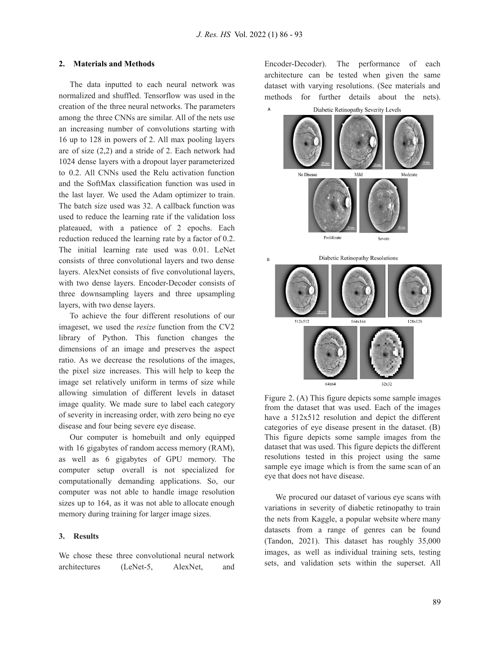#### **2. Materials and Methods**

The data inputted to each neural network was normalized and shuffled. Tensorflow was used in the creation of the three neural networks. The parameters among the three CNNs are similar. All of the nets use an increasing number of convolutions starting with 16 up to 128 in powers of 2. All max pooling layers are of size (2,2) and a stride of 2. Each network had 1024 dense layers with a dropout layer parameterized to 0.2. All CNNs used the Relu activation function and the SoftMax classification function was used in the last layer. We used the Adam optimizer to train. The batch size used was 32. A callback function was used to reduce the learning rate if the validation loss plateaued, with a patience of 2 epochs. Each reduction reduced the learning rate by a factor of 0.2. The initial learning rate used was 0.01. LeNet consists of three convolutional layers and two dense layers. AlexNet consists of five convolutional layers, with two dense layers. Encoder-Decoder consists of three downsampling layers and three upsampling layers, with two dense layers.

To achieve the four different resolutions of our imageset, we used the *resize* function from the CV2 library of Python. This function changes the dimensions of an image and preserves the aspect ratio. As we decrease the resolutions of the images, the pixel size increases. This will help to keep the image set relatively uniform in terms of size while allowing simulation of different levels in dataset image quality. We made sure to label each category of severity in increasing order, with zero being no eye disease and four being severe eye disease.

Our computer is homebuilt and only equipped with 16 gigabytes of random access memory (RAM), as well as 6 gigabytes of GPU memory. The computer setup overall is not specialized for computationally demanding applications. So, our computer was not able to handle image resolution sizes up to 164, as it was not able to allocate enough memory during training for larger image sizes.

#### **3. Results**

We chose these three convolutional neural network architectures (LeNet-5, AlexNet, and Encoder-Decoder). The performance of each architecture can be tested when given the same dataset with varying resolutions. (See materials and methods for further details about the nets).



Figure 2. (A) This figure depicts some sample images from the dataset that was used. Each of the images have a 512x512 resolution and depict the different categories of eye disease present in the dataset. (B) This figure depicts some sample images from the dataset that was used. This figure depicts the different resolutions tested in this project using the same sample eye image which is from the same scan of an eye that does not have disease.

We procured our dataset of various eye scans with variations in severity of diabetic retinopathy to train the nets from Kaggle, a popular website where many datasets from a range of genres can be found (Tandon, 2021). This dataset has roughly 35,000 images, as well as individual training sets, testing sets, and validation sets within the superset. All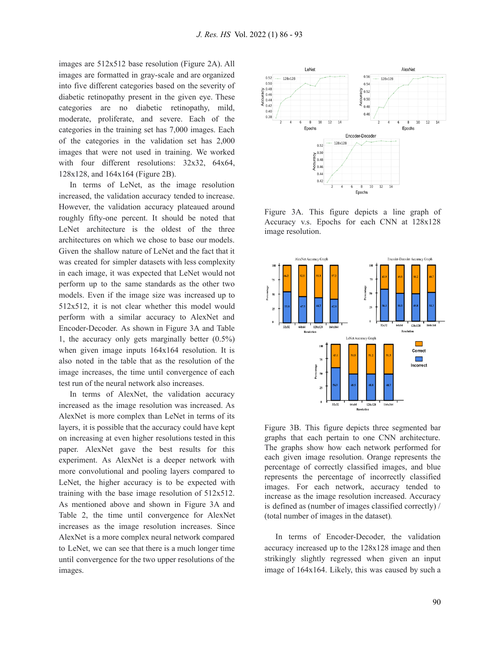images are 512x512 base resolution (Figure 2A). All images are formatted in gray-scale and are organized into five different categories based on the severity of diabetic retinopathy present in the given eye. These categories are no diabetic retinopathy, mild, moderate, proliferate, and severe. Each of the categories in the training set has 7,000 images. Each of the categories in the validation set has 2,000 images that were not used in training. We worked with four different resolutions: 32x32, 64x64, 128x128, and 164x164 (Figure 2B).

In terms of LeNet, as the image resolution increased, the validation accuracy tended to increase. However, the validation accuracy plateaued around roughly fifty-one percent. It should be noted that LeNet architecture is the oldest of the three architectures on which we chose to base our models. Given the shallow nature of LeNet and the fact that it was created for simpler datasets with less complexity in each image, it was expected that LeNet would not perform up to the same standards as the other two models. Even if the image size was increased up to 512x512, it is not clear whether this model would perform with a similar accuracy to AlexNet and Encoder-Decoder. As shown in Figure 3A and Table 1, the accuracy only gets marginally better (0.5%) when given image inputs 164x164 resolution. It is also noted in the table that as the resolution of the image increases, the time until convergence of each test run of the neural network also increases.

In terms of AlexNet, the validation accuracy increased as the image resolution was increased. As AlexNet is more complex than LeNet in terms of its layers, it is possible that the accuracy could have kept on increasing at even higher resolutions tested in this paper. AlexNet gave the best results for this experiment. As AlexNet is a deeper network with more convolutional and pooling layers compared to LeNet, the higher accuracy is to be expected with training with the base image resolution of 512x512. As mentioned above and shown in Figure 3A and Table 2, the time until convergence for AlexNet increases as the image resolution increases. Since AlexNet is a more complex neural network compared to LeNet, we can see that there is a much longer time until convergence for the two upper resolutions of the images.



Figure 3A. This figure depicts a line graph of Accuracy v.s. Epochs for each CNN at 128x128 image resolution.



Figure 3B. This figure depicts three segmented bar graphs that each pertain to one CNN architecture. The graphs show how each network performed for each given image resolution. Orange represents the percentage of correctly classified images, and blue represents the percentage of incorrectly classified images. For each network, accuracy tended to increase as the image resolution increased. Accuracy is defined as (number of images classified correctly) / (total number of images in the dataset)*.*

In terms of Encoder-Decoder, the validation accuracy increased up to the 128x128 image and then strikingly slightly regressed when given an input image of 164x164. Likely, this was caused by such a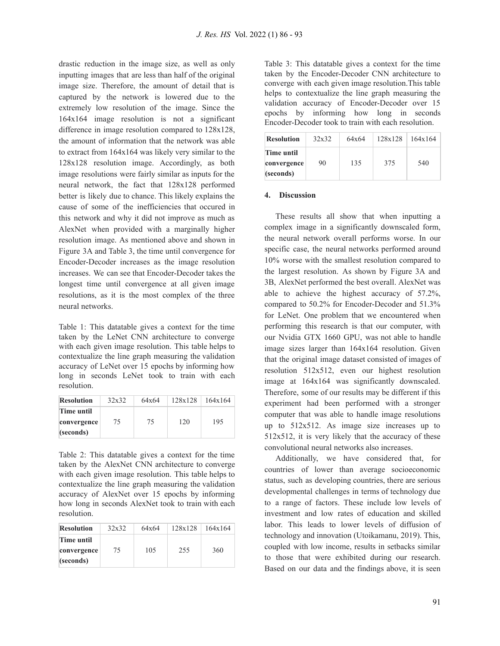drastic reduction in the image size, as well as only inputting images that are less than half of the original image size. Therefore, the amount of detail that is captured by the network is lowered due to the extremely low resolution of the image. Since the 164x164 image resolution is not a significant difference in image resolution compared to 128x128, the amount of information that the network was able to extract from 164x164 was likely very similar to the 128x128 resolution image. Accordingly, as both image resolutions were fairly similar as inputs for the neural network, the fact that 128x128 performed better is likely due to chance. This likely explains the cause of some of the inefficiencies that occured in this network and why it did not improve as much as AlexNet when provided with a marginally higher resolution image. As mentioned above and shown in Figure 3A and Table 3, the time until convergence for Encoder-Decoder increases as the image resolution increases. We can see that Encoder-Decoder takes the longest time until convergence at all given image resolutions, as it is the most complex of the three neural networks.

Table 1: This datatable gives a context for the time taken by the LeNet CNN architecture to converge with each given image resolution. This table helps to contextualize the line graph measuring the validation accuracy of LeNet over 15 epochs by informing how long in seconds LeNet took to train with each resolution.

| <b>Resolution</b> | 32x32 | 64x64 | 128x128 | 164x164 |
|-------------------|-------|-------|---------|---------|
| Time until        |       |       |         |         |
| convergence       | 75    | 75    | 120     | 195     |
| (seconds)         |       |       |         |         |

Table 2: This datatable gives a context for the time taken by the AlexNet CNN architecture to converge with each given image resolution. This table helps to contextualize the line graph measuring the validation accuracy of AlexNet over 15 epochs by informing how long in seconds AlexNet took to train with each resolution.

| <b>Resolution</b> | 32x32 | 64x64 | 128x128 | 164x164 |
|-------------------|-------|-------|---------|---------|
| Time until        |       |       |         |         |
| convergence       | 75    | 105   | 255     | 360     |
| (seconds)         |       |       |         |         |

Table 3: This datatable gives a context for the time taken by the Encoder-Decoder CNN architecture to converge with each given image resolution.This table helps to contextualize the line graph measuring the validation accuracy of Encoder-Decoder over 15 epochs by informing how long in seconds Encoder-Decoder took to train with each resolution.

| <b>Resolution</b>                      | 32x32 | 64x64 | 128x128 | 164x164 |
|----------------------------------------|-------|-------|---------|---------|
| Time until<br>convergence<br>(seconds) | 90    | 135   | 375     | 540     |

#### **4. Discussion**

These results all show that when inputting a complex image in a significantly downscaled form, the neural network overall performs worse. In our specific case, the neural networks performed around 10% worse with the smallest resolution compared to the largest resolution. As shown by Figure 3A and 3B, AlexNet performed the best overall. AlexNet was able to achieve the highest accuracy of 57.2%, compared to 50.2% for Encoder-Decoder and 51.3% for LeNet. One problem that we encountered when performing this research is that our computer, with our Nvidia GTX 1660 GPU, was not able to handle image sizes larger than 164x164 resolution. Given that the original image dataset consisted of images of resolution 512x512, even our highest resolution image at 164x164 was significantly downscaled. Therefore, some of our results may be different if this experiment had been performed with a stronger computer that was able to handle image resolutions up to 512x512. As image size increases up to  $512x512$ , it is very likely that the accuracy of these convolutional neural networks also increases.

Additionally, we have considered that, for countries of lower than average socioeconomic status, such as developing countries, there are serious developmental challenges in terms of technology due to a range of factors. These include low levels of investment and low rates of education and skilled labor. This leads to lower levels of diffusion of technology and innovation (Utoikamanu, 2019). This, coupled with low income, results in setbacks similar to those that were exhibited during our research. Based on our data and the findings above, it is seen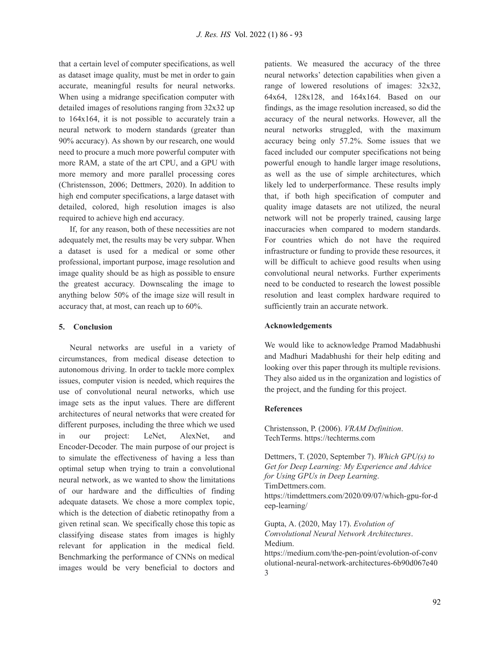that a certain level of computer specifications, as well as dataset image quality, must be met in order to gain accurate, meaningful results for neural networks. When using a midrange specification computer with detailed images of resolutions ranging from 32x32 up to 164x164, it is not possible to accurately train a neural network to modern standards (greater than 90% accuracy). As shown by our research, one would need to procure a much more powerful computer with more RAM, a state of the art CPU, and a GPU with more memory and more parallel processing cores (Christensson, 2006; Dettmers, 2020). In addition to high end computer specifications, a large dataset with detailed, colored, high resolution images is also required to achieve high end accuracy.

If, for any reason, both of these necessities are not adequately met, the results may be very subpar. When a dataset is used for a medical or some other professional, important purpose, image resolution and image quality should be as high as possible to ensure the greatest accuracy. Downscaling the image to anything below 50% of the image size will result in accuracy that, at most, can reach up to 60%.

#### **5. Conclusion**

Neural networks are useful in a variety of circumstances, from medical disease detection to autonomous driving. In order to tackle more complex issues, computer vision is needed, which requires the use of convolutional neural networks, which use image sets as the input values. There are different architectures of neural networks that were created for different purposes, including the three which we used in our project: LeNet, AlexNet, and Encoder-Decoder. The main purpose of our project is to simulate the effectiveness of having a less than optimal setup when trying to train a convolutional neural network, as we wanted to show the limitations of our hardware and the difficulties of finding adequate datasets. We chose a more complex topic, which is the detection of diabetic retinopathy from a given retinal scan. We specifically chose this topic as classifying disease states from images is highly relevant for application in the medical field. Benchmarking the performance of CNNs on medical images would be very beneficial to doctors and

patients. We measured the accuracy of the three neural networks' detection capabilities when given a range of lowered resolutions of images: 32x32, 64x64, 128x128, and 164x164. Based on our findings, as the image resolution increased, so did the accuracy of the neural networks. However, all the neural networks struggled, with the maximum accuracy being only 57.2%. Some issues that we faced included our computer specifications not being powerful enough to handle larger image resolutions, as well as the use of simple architectures, which likely led to underperformance. These results imply that, if both high specification of computer and quality image datasets are not utilized, the neural network will not be properly trained, causing large inaccuracies when compared to modern standards. For countries which do not have the required infrastructure or funding to provide these resources, it will be difficult to achieve good results when using convolutional neural networks. Further experiments need to be conducted to research the lowest possible resolution and least complex hardware required to sufficiently train an accurate network.

#### **Acknowledgements**

We would like to acknowledge Pramod Madabhushi and Madhuri Madabhushi for their help editing and looking over this paper through its multiple revisions. They also aided us in the organization and logistics of the project, and the funding for this project.

#### **References**

Christensson, P. (2006). *VRAM Definition*. TechTerms. https://techterms.com

Dettmers, T. (2020, September 7). *Which GPU(s) to Get for Deep Learning: My Experience and Advice for Using GPUs in Deep Learning*. TimDettmers.com. https://timdettmers.com/2020/09/07/which-gpu-for-d eep-learning/

Gupta, A. (2020, May 17). *Evolution of Convolutional Neural Network Architectures*. Medium.

https://medium.com/the-pen-point/evolution-of-conv olutional-neural-network-architectures-6b90d067e40 3